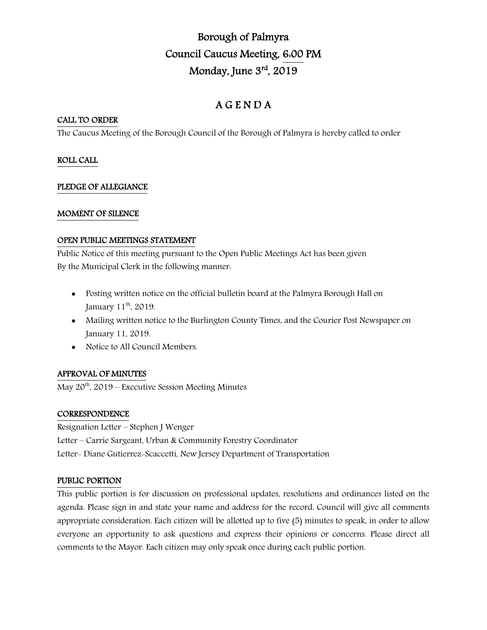# Borough of Palmyra Council Caucus Meeting, 6:00 PM Monday, June 3rd, 2019

# A G E N D A

## CALL TO ORDER

The Caucus Meeting of the Borough Council of the Borough of Palmyra is hereby called to order

# ROLL CALL

#### PLEDGE OF ALLEGIANCE

#### MOMENT OF SILENCE

#### OPEN PUBLIC MEETINGS STATEMENT

Public Notice of this meeting pursuant to the Open Public Meetings Act has been given By the Municipal Clerk in the following manner:

- Posting written notice on the official bulletin board at the Palmyra Borough Hall on January 11<sup>th</sup>, 2019.
- Mailing written notice to the Burlington County Times, and the Courier Post Newspaper on January 11, 2019.
- Notice to All Council Members.

# APPROVAL OF MINUTES

May  $20^{th}$ ,  $2019$  – Executive Session Meeting Minutes

#### **CORRESPONDENCE**

Resignation Letter – Stephen J Wenger Letter – Carrie Sargeant, Urban & Community Forestry Coordinator Letter- Diane Gutierrez-Scaccetti, New Jersey Department of Transportation

#### PUBLIC PORTION

This public portion is for discussion on professional updates, resolutions and ordinances listed on the agenda. Please sign in and state your name and address for the record. Council will give all comments appropriate consideration. Each citizen will be allotted up to five (5) minutes to speak, in order to allow everyone an opportunity to ask questions and express their opinions or concerns. Please direct all comments to the Mayor. Each citizen may only speak once during each public portion.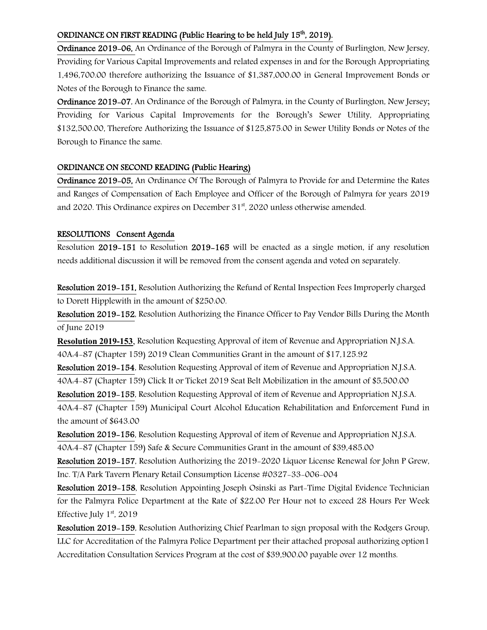# ORDINANCE ON FIRST READING (Public Hearing to be held July 15<sup>th</sup>, 2019).

Ordinance 2019-06, An Ordinance of the Borough of Palmyra in the County of Burlington, New Jersey, Providing for Various Capital Improvements and related expenses in and for the Borough Appropriating 1,496,700.00 therefore authorizing the Issuance of \$1,387,000.00 in General Improvement Bonds or Notes of the Borough to Finance the same.

Ordinance 2019-07, An Ordinance of the Borough of Palmyra, in the County of Burlington, New Jersey; Providing for Various Capital Improvements for the Borough's Sewer Utility, Appropriating \$132,500.00, Therefore Authorizing the Issuance of \$125,875.00 in Sewer Utility Bonds or Notes of the Borough to Finance the same.

#### ORDINANCE ON SECOND READING (Public Hearing)

Ordinance 2019-05, An Ordinance Of The Borough of Palmyra to Provide for and Determine the Rates and Ranges of Compensation of Each Employee and Officer of the Borough of Palmyra for years 2019 and 2020. This Ordinance expires on December  $31<sup>st</sup>$ , 2020 unless otherwise amended.

#### RESOLUTIONS Consent Agenda

Resolution 2019-151 to Resolution 2019-165 will be enacted as a single motion, if any resolution needs additional discussion it will be removed from the consent agenda and voted on separately.

Resolution 2019-151, Resolution Authorizing the Refund of Rental Inspection Fees Improperly charged to Dorett Hipplewith in the amount of \$250.00.

Resolution 2019-152, Resolution Authorizing the Finance Officer to Pay Vendor Bills During the Month of June 2019

Resolution 2019-153, Resolution Requesting Approval of item of Revenue and Appropriation N.J.S.A. 40A:4-87 (Chapter 159) 2019 Clean Communities Grant in the amount of \$17,125.92

Resolution 2019-154, Resolution Requesting Approval of item of Revenue and Appropriation N.J.S.A. 40A:4-87 (Chapter 159) Click It or Ticket 2019 Seat Belt Mobilization in the amount of \$5,500.00

Resolution 2019-155, Resolution Requesting Approval of item of Revenue and Appropriation N.J.S.A. 40A:4-87 (Chapter 159) Municipal Court Alcohol Education Rehabilitation and Enforcement Fund in the amount of \$643.00

Resolution 2019-156, Resolution Requesting Approval of item of Revenue and Appropriation N.J.S.A. 40A:4-87 (Chapter 159) Safe & Secure Communities Grant in the amount of \$39,485.00

Resolution 2019-157, Resolution Authorizing the 2019-2020 Liquor License Renewal for John P Grew, Inc. T/A Park Tavern Plenary Retail Consumption License #0327-33-006-004

Resolution 2019-158, Resolution Appointing Joseph Osinski as Part-Time Digital Evidence Technician for the Palmyra Police Department at the Rate of \$22.00 Per Hour not to exceed 28 Hours Per Week Effective July  $1<sup>st</sup>$ , 2019

Resolution 2019-159, Resolution Authorizing Chief Pearlman to sign proposal with the Rodgers Group, LLC for Accreditation of the Palmyra Police Department per their attached proposal authorizing option1 Accreditation Consultation Services Program at the cost of \$39,900.00 payable over 12 months.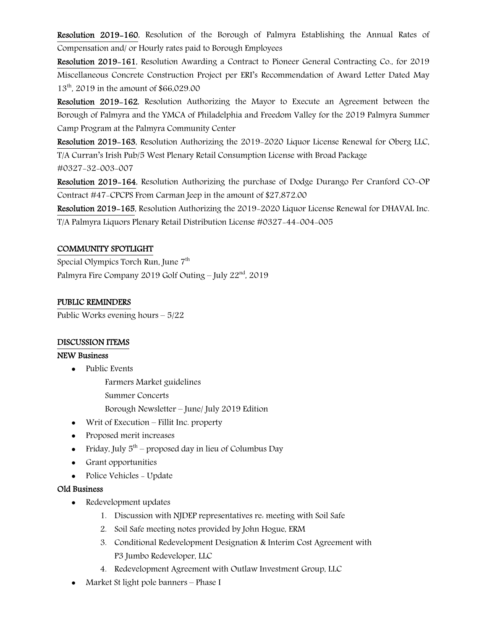Resolution 2019-160, Resolution of the Borough of Palmyra Establishing the Annual Rates of Compensation and/ or Hourly rates paid to Borough Employees

Resolution 2019-161, Resolution Awarding a Contract to Pioneer General Contracting Co., for 2019 Miscellaneous Concrete Construction Project per ERI's Recommendation of Award Letter Dated May 13<sup>th</sup>, 2019 in the amount of \$66,029.00

Resolution 2019-162, Resolution Authorizing the Mayor to Execute an Agreement between the Borough of Palmyra and the YMCA of Philadelphia and Freedom Valley for the 2019 Palmyra Summer Camp Program at the Palmyra Community Center

Resolution 2019-163, Resolution Authorizing the 2019-2020 Liquor License Renewal for Oberg LLC, T/A Curran's Irish Pub/5 West Plenary Retail Consumption License with Broad Package

#0327-32-003-007

Resolution 2019-164, Resolution Authorizing the purchase of Dodge Durango Per Cranford CO-OP Contract #47-CPCPS From Carman Jeep in the amount of \$27,872.00

Resolution 2019-165, Resolution Authorizing the 2019-2020 Liquor License Renewal for DHAVAL Inc. T/A Palmyra Liquors Plenary Retail Distribution License #0327-44-004-005

# COMMUNITY SPOTLIGHT

Special Olympics Torch Run, June 7<sup>th</sup> Palmyra Fire Company 2019 Golf Outing – July  $22<sup>nd</sup>$ , 2019

#### PUBLIC REMINDERS

Public Works evening hours – 5/22

#### DISCUSSION ITEMS

#### NEW Business

- Public Events
	- Farmers Market guidelines
	- Summer Concerts

Borough Newsletter – June/ July 2019 Edition

- Writ of Execution Fillit Inc. property
- Proposed merit increases
- Friday, July  $5<sup>th</sup>$  proposed day in lieu of Columbus Day
- Grant opportunities
- Police Vehicles Update

#### Old Business

- Redevelopment updates
	- 1. Discussion with NJDEP representatives re: meeting with Soil Safe
	- 2. Soil Safe meeting notes provided by John Hogue, ERM
	- 3. Conditional Redevelopment Designation & Interim Cost Agreement with P3 Jumbo Redeveloper, LLC
	- 4. Redevelopment Agreement with Outlaw Investment Group, LLC
- Market St light pole banners Phase I